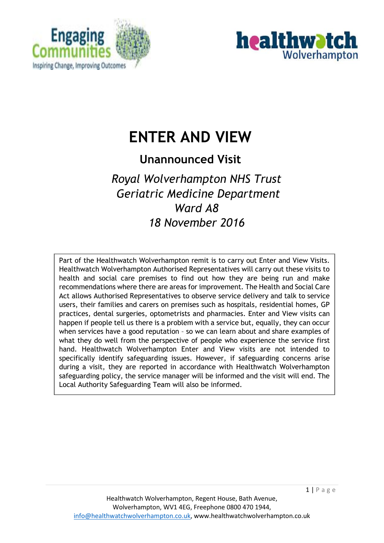



# **ENTER AND VIEW**

# **Unannounced Visit**

# *Royal Wolverhampton NHS Trust Geriatric Medicine Department Ward A8 18 November 2016*

Part of the Healthwatch Wolverhampton remit is to carry out Enter and View Visits. Healthwatch Wolverhampton Authorised Representatives will carry out these visits to health and social care premises to find out how they are being run and make recommendations where there are areas for improvement. The Health and Social Care Act allows Authorised Representatives to observe service delivery and talk to service users, their families and carers on premises such as hospitals, residential homes, GP practices, dental surgeries, optometrists and pharmacies. Enter and View visits can happen if people tell us there is a problem with a service but, equally, they can occur when services have a good reputation – so we can learn about and share examples of what they do well from the perspective of people who experience the service first hand. Healthwatch Wolverhampton Enter and View visits are not intended to specifically identify safeguarding issues. However, if safeguarding concerns arise during a visit, they are reported in accordance with Healthwatch Wolverhampton safeguarding policy, the service manager will be informed and the visit will end. The Local Authority Safeguarding Team will also be informed.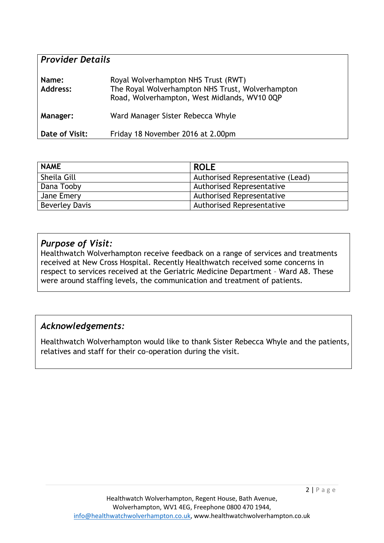| <b>Provider Details</b> |                                                                                                                                         |  |
|-------------------------|-----------------------------------------------------------------------------------------------------------------------------------------|--|
| Name:<br>Address:       | Royal Wolverhampton NHS Trust (RWT)<br>The Royal Wolverhampton NHS Trust, Wolverhampton<br>Road, Wolverhampton, West Midlands, WV10 0QP |  |
| Manager:                | Ward Manager Sister Rebecca Whyle                                                                                                       |  |
| Date of Visit:          | Friday 18 November 2016 at 2.00pm                                                                                                       |  |

| <b>NAME</b>           | <b>ROLE</b>                      |
|-----------------------|----------------------------------|
| Sheila Gill           | Authorised Representative (Lead) |
| Dana Tooby            | <b>Authorised Representative</b> |
| Jane Emery            | <b>Authorised Representative</b> |
| <b>Beverley Davis</b> | <b>Authorised Representative</b> |

#### *Purpose of Visit:*

Healthwatch Wolverhampton receive feedback on a range of services and treatments received at New Cross Hospital. Recently Healthwatch received some concerns in respect to services received at the Geriatric Medicine Department – Ward A8. These were around staffing levels, the communication and treatment of patients.

#### *Acknowledgements:*

Healthwatch Wolverhampton would like to thank Sister Rebecca Whyle and the patients, relatives and staff for their co-operation during the visit.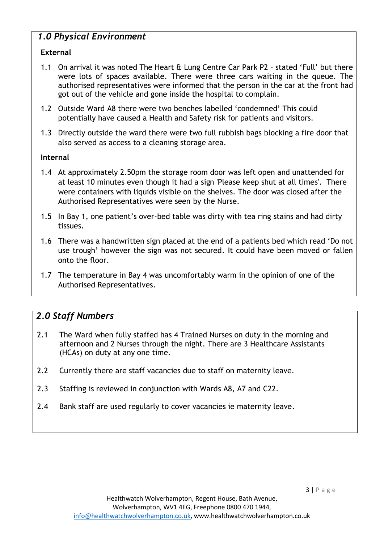# *1.0 Physical Environment*

#### **External**

- 1.1 On arrival it was noted The Heart & Lung Centre Car Park P2 stated 'Full' but there were lots of spaces available. There were three cars waiting in the queue. The authorised representatives were informed that the person in the car at the front had got out of the vehicle and gone inside the hospital to complain.
- 1.2 Outside Ward A8 there were two benches labelled 'condemned' This could potentially have caused a Health and Safety risk for patients and visitors.
- 1.3 Directly outside the ward there were two full rubbish bags blocking a fire door that also served as access to a cleaning storage area.

#### **Internal**

- 1.4 At approximately 2.50pm the storage room door was left open and unattended for at least 10 minutes even though it had a sign 'Please keep shut at all times'. There were containers with liquids visible on the shelves. The door was closed after the Authorised Representatives were seen by the Nurse.
- 1.5 In Bay 1, one patient's over-bed table was dirty with tea ring stains and had dirty tissues.
- 1.6 There was a handwritten sign placed at the end of a patients bed which read 'Do not use trough' however the sign was not secured. It could have been moved or fallen onto the floor.
- 1.7 The temperature in Bay 4 was uncomfortably warm in the opinion of one of the Authorised Representatives.

# *2.0 Staff Numbers*

- 2.1 The Ward when fully staffed has 4 Trained Nurses on duty in the morning and afternoon and 2 Nurses through the night. There are 3 Healthcare Assistants (HCAs) on duty at any one time.
- 2.2 Currently there are staff vacancies due to staff on maternity leave.
- 2.3 Staffing is reviewed in conjunction with Wards A8, A7 and C22.
- 2.4 Bank staff are used regularly to cover vacancies ie maternity leave.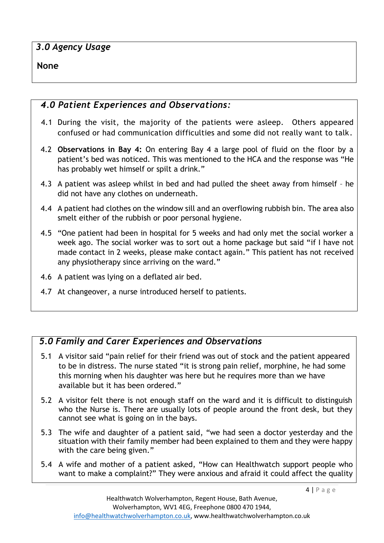# *3.0 Agency Usage*

#### **None**

# *4.0 Patient Experiences and Observations:*

- 4.1 During the visit, the majority of the patients were asleep. Others appeared confused or had communication difficulties and some did not really want to talk.
- 4.2 **Observations in Bay 4:** On entering Bay 4 a large pool of fluid on the floor by a patient's bed was noticed. This was mentioned to the HCA and the response was "He has probably wet himself or spilt a drink."
- 4.3 A patient was asleep whilst in bed and had pulled the sheet away from himself he did not have any clothes on underneath.
- 4.4 A patient had clothes on the window sill and an overflowing rubbish bin. The area also smelt either of the rubbish or poor personal hygiene.
- 4.5 "One patient had been in hospital for 5 weeks and had only met the social worker a week ago. The social worker was to sort out a home package but said "if I have not made contact in 2 weeks, please make contact again." This patient has not received any physiotherapy since arriving on the ward."
- 4.6 A patient was lying on a deflated air bed.
- 4.7 At changeover, a nurse introduced herself to patients.

# *5.0 Family and Carer Experiences and Observations*

- 5.1 A visitor said "pain relief for their friend was out of stock and the patient appeared to be in distress. The nurse stated "it is strong pain relief, morphine, he had some this morning when his daughter was here but he requires more than we have available but it has been ordered."
- 5.2 A visitor felt there is not enough staff on the ward and it is difficult to distinguish who the Nurse is. There are usually lots of people around the front desk, but they cannot see what is going on in the bays.
- 5.3 The wife and daughter of a patient said, "we had seen a doctor yesterday and the situation with their family member had been explained to them and they were happy with the care being given."
- 5.4 A wife and mother of a patient asked, "How can Healthwatch support people who want to make a complaint?" They were anxious and afraid it could affect the quality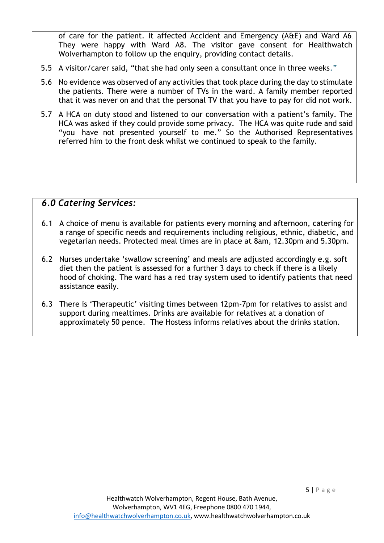of care for the patient. It affected Accident and Emergency (A&E) and Ward A6. They were happy with Ward A8. The visitor gave consent for Healthwatch Wolverhampton to follow up the enquiry, providing contact details.

- 5.5 A visitor/carer said, "that she had only seen a consultant once in three weeks."
- 5.6 No evidence was observed of any activities that took place during the day to stimulate the patients. There were a number of TVs in the ward. A family member reported that it was never on and that the personal TV that you have to pay for did not work.
- 5.7 A HCA on duty stood and listened to our conversation with a patient's family. The HCA was asked if they could provide some privacy. The HCA was quite rude and said "you have not presented yourself to me." So the Authorised Representatives referred him to the front desk whilst we continued to speak to the family.

#### *6.0 Catering Services:*

- 6.1 A choice of menu is available for patients every morning and afternoon, catering for a range of specific needs and requirements including religious, ethnic, diabetic, and vegetarian needs. Protected meal times are in place at 8am, 12.30pm and 5.30pm.
- 6.2 Nurses undertake 'swallow screening' and meals are adjusted accordingly e.g. soft diet then the patient is assessed for a further 3 days to check if there is a likely hood of choking. The ward has a red tray system used to identify patients that need assistance easily.
- 6.3 There is 'Therapeutic' visiting times between 12pm-7pm for relatives to assist and support during mealtimes. Drinks are available for relatives at a donation of approximately 50 pence. The Hostess informs relatives about the drinks station.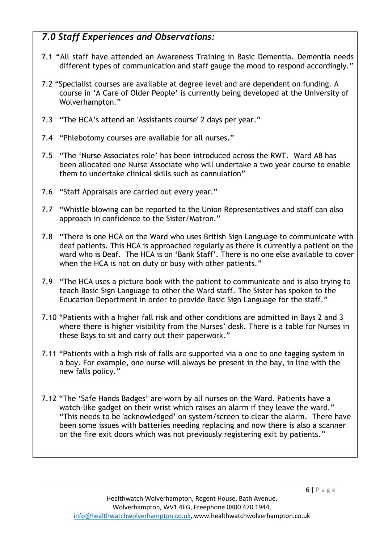# *7.0 Staff Experiences and Observations:*

- 7.1 **"**All staff have attended an Awareness Training in Basic Dementia. Dementia needs different types of communication and staff gauge the mood to respond accordingly."
- 7.2 "Specialist courses are available at degree level and are dependent on funding. A course in 'A Care of Older People' is currently being developed at the University of Wolverhampton."
- 7.3 "The HCA's attend an 'Assistants course' 2 days per year."
- 7.4 "Phlebotomy courses are available for all nurses."
- 7.5 "The 'Nurse Associates role' has been introduced across the RWT. Ward A8 has been allocated one Nurse Associate who will undertake a two year course to enable them to undertake clinical skills such as cannulation"
- 7.6 "Staff Appraisals are carried out every year."
- 7.7 "Whistle blowing can be reported to the Union Representatives and staff can also approach in confidence to the Sister/Matron."
- 7.8 "There is one HCA on the Ward who uses British Sign Language to communicate with deaf patients. This HCA is approached regularly as there is currently a patient on the ward who is Deaf. The HCA is on 'Bank Staff'. There is no one else available to cover when the HCA is not on duty or busy with other patients."
- 7.9 "The HCA uses a picture book with the patient to communicate and is also trying to teach Basic Sign Language to other the Ward staff. The Sister has spoken to the Education Department in order to provide Basic Sign Language for the staff."
- 7.10 "Patients with a higher fall risk and other conditions are admitted in Bays 2 and 3 where there is higher visibility from the Nurses' desk. There is a table for Nurses in these Bays to sit and carry out their paperwork."
- 7.11 "Patients with a high risk of falls are supported via a one to one tagging system in a bay. For example, one nurse will always be present in the bay, in line with the new falls policy."
- 7.12 "The 'Safe Hands Badges' are worn by all nurses on the Ward. Patients have a watch-like gadget on their wrist which raises an alarm if they leave the ward." "This needs to be 'acknowledged' on system/screen to clear the alarm. There have been some issues with batteries needing replacing and now there is also a scanner on the fire exit doors which was not previously registering exit by patients."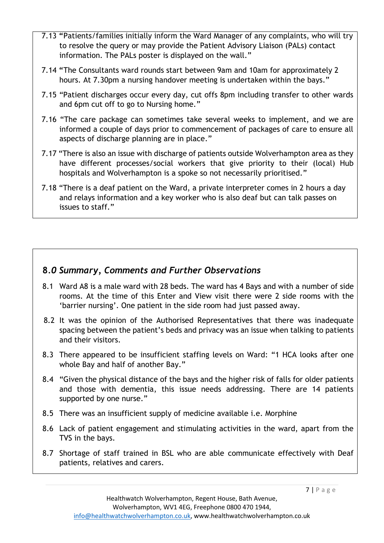- 7.13 **"**Patients/families initially inform the Ward Manager of any complaints, who will try to resolve the query or may provide the Patient Advisory Liaison (PALs) contact information. The PALs poster is displayed on the wall."
- 7.14 **"**The Consultants ward rounds start between 9am and 10am for approximately 2 hours. At 7.30pm a nursing handover meeting is undertaken within the bays."
- 7.15 "Patient discharges occur every day, cut offs 8pm including transfer to other wards and 6pm cut off to go to Nursing home."
- 7.16 "The care package can sometimes take several weeks to implement, and we are informed a couple of days prior to commencement of packages of care to ensure all aspects of discharge planning are in place."
- 7.17 "There is also an issue with discharge of patients outside Wolverhampton area as they have different processes/social workers that give priority to their (local) Hub hospitals and Wolverhampton is a spoke so not necessarily prioritised."
- 7.18 "There is a deaf patient on the Ward, a private interpreter comes in 2 hours a day and relays information and a key worker who is also deaf but can talk passes on issues to staff."

# **8***.0 Summary, Comments and Further Observations*

- 8.1 Ward A8 is a male ward with 28 beds. The ward has 4 Bays and with a number of side rooms. At the time of this Enter and View visit there were 2 side rooms with the 'barrier nursing'. One patient in the side room had just passed away.
- 8.2 It was the opinion of the Authorised Representatives that there was inadequate spacing between the patient's beds and privacy was an issue when talking to patients and their visitors.
- 8.3 There appeared to be insufficient staffing levels on Ward: "1 HCA looks after one whole Bay and half of another Bay."
- 8.4 "Given the physical distance of the bays and the higher risk of falls for older patients and those with dementia, this issue needs addressing. There are 14 patients supported by one nurse."
- 8.5 There was an insufficient supply of medicine available i.e. Morphine
- 8.6 Lack of patient engagement and stimulating activities in the ward, apart from the TVS in the bays.
- 8.7 Shortage of staff trained in BSL who are able communicate effectively with Deaf patients, relatives and carers.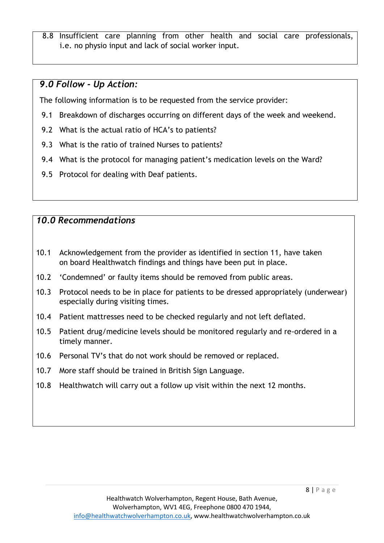8.8 Insufficient care planning from other health and social care professionals, i.e. no physio input and lack of social worker input.

#### *9.0 Follow - Up Action:*

The following information is to be requested from the service provider:

- 9.1 Breakdown of discharges occurring on different days of the week and weekend.
- 9.2 What is the actual ratio of HCA's to patients?
- 9.3 What is the ratio of trained Nurses to patients?
- 9.4 What is the protocol for managing patient's medication levels on the Ward?
- 9.5 Protocol for dealing with Deaf patients.

### *10.0 Recommendations*

- 10.1 Acknowledgement from the provider as identified in section 11, have taken on board Healthwatch findings and things have been put in place.
- 10.2 'Condemned' or faulty items should be removed from public areas.
- 10.3 Protocol needs to be in place for patients to be dressed appropriately (underwear) especially during visiting times.
- 10.4 Patient mattresses need to be checked regularly and not left deflated.
- 10.5 Patient drug/medicine levels should be monitored regularly and re-ordered in a timely manner.
- 10.6 Personal TV's that do not work should be removed or replaced.
- 10.7 More staff should be trained in British Sign Language.
- 10.8 Healthwatch will carry out a follow up visit within the next 12 months.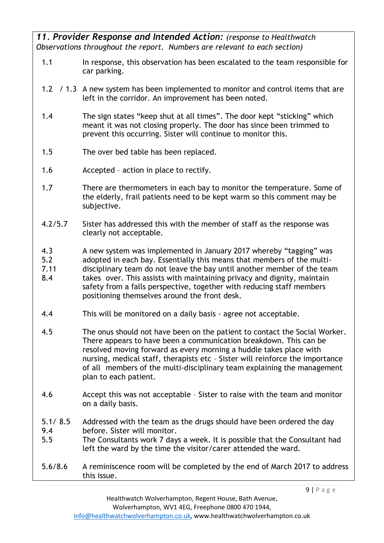*11. Provider Response and Intended Action: (response to Healthwatch Observations throughout the report. Numbers are relevant to each section)*

- 1.1 In response, this observation has been escalated to the team responsible for car parking.
- 1.2 / 1.3 A new system has been implemented to monitor and control items that are left in the corridor. An improvement has been noted.
- 1.4 The sign states "keep shut at all times". The door kept "sticking" which meant it was not closing properly. The door has since been trimmed to prevent this occurring. Sister will continue to monitor this.
- 1.5 The over bed table has been replaced.
- 1.6 Accepted action in place to rectify.
- 1.7 There are thermometers in each bay to monitor the temperature. Some of the elderly, frail patients need to be kept warm so this comment may be subjective.
- 4.2/5.7 Sister has addressed this with the member of staff as the response was clearly not acceptable.
- 4.3 A new system was implemented in January 2017 whereby "tagging" was
- 5.2 adopted in each bay. Essentially this means that members of the multi-
- 7.11 disciplinary team do not leave the bay until another member of the team
- 8.4 takes over. This assists with maintaining privacy and dignity, maintain safety from a falls perspective, together with reducing staff members positioning themselves around the front desk.
- 4.4 This will be monitored on a daily basis agree not acceptable.
- 4.5 The onus should not have been on the patient to contact the Social Worker. There appears to have been a communication breakdown. This can be resolved moving forward as every morning a huddle takes place with nursing, medical staff, therapists etc – Sister will reinforce the importance of all members of the multi-disciplinary team explaining the management plan to each patient.
- 4.6 Accept this was not acceptable Sister to raise with the team and monitor on a daily basis.
- 5.1/ 8.5 Addressed with the team as the drugs should have been ordered the day 9.4 before. Sister will monitor.
- 5.5 The Consultants work 7 days a week. It is possible that the Consultant had left the ward by the time the visitor/carer attended the ward.
- 5.6/8.6 A reminiscence room will be completed by the end of March 2017 to address this issue.